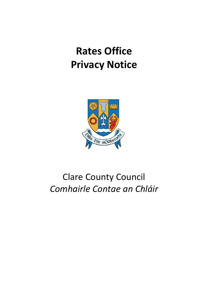# **Privacy Notice Rates Office**



## Clare County Council *Comhairle Contae an Chláir*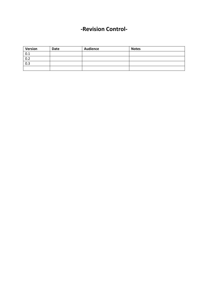### **-Revision Control-**

| <b>Version</b> | <b>Date</b> | <b>Audience</b> | <b>Notes</b> |
|----------------|-------------|-----------------|--------------|
| 0.1            |             |                 |              |
| 0.2            |             |                 |              |
| 0.3            |             |                 |              |
|                |             |                 |              |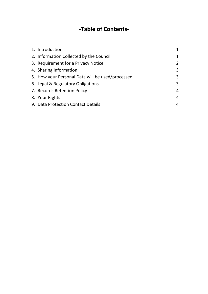## **-Table of Contents-**

| 1. Introduction                                  |                |
|--------------------------------------------------|----------------|
| 2. Information Collected by the Council          | 1              |
| 3. Requirement for a Privacy Notice              | $\overline{2}$ |
| 4. Sharing Information                           | 3              |
| 5. How your Personal Data will be used/processed | 3              |
| 6. Legal & Regulatory Obligations                | 3              |
| 7. Records Retention Policy                      | 4              |
| 8. Your Rights                                   | 4              |
| 9. Data Protection Contact Details               | 4              |
|                                                  |                |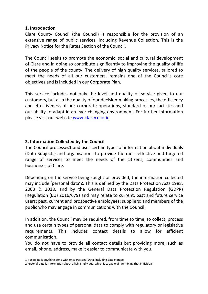#### **1. Introduction**

Clare County Council (the Council) is responsible for the provision of an extensive range of public services, including Revenue Collection. This is the Privacy Notice for the Rates Section of the Council.

The Council seeks to promote the economic, social and cultural development of Clare and in doing so contribute significantly to improving the quality of life of the people of the county. The delivery of high quality services, tailored to meet the needs of all our customers, remains one of the Council's core objectives and is included in our Corporate Plan.

This service includes not only the level and quality of service given to our customers, but also the quality of our decision-making processes, the efficiency and effectiveness of our corporate operations, standard of our facilities and our ability to adapt in an ever-changing environment. For further information please visit our website www.clarecoco.ie

#### **2. Information Collected by the Council**

The Council processes**1** and uses certain types of information about individuals (Data Subjects) and organisations to provide the most effective and targeted range of services to meet the needs of the citizens, communities and businesses of Clare.

Depending on the service being sought or provided, the information collected may include 'personal data'**2**. This is defined by the Data Protection Acts 1988, 2003 & 2018, and by the General Data Protection Regulation (GDPR) (Regulation (EU) 2016/679) and may relate to current, past and future service users; past, current and prospective employees; suppliers; and members of the public who may engage in communications with the Council.

In addition, the Council may be required, from time to time, to collect, process and use certain types of personal data to comply with regulatory or legislative requirements. This includes contact details to allow for efficient communication.

You do not have to provide all contact details but providing more, such as email, phone, address, make it easier to communicate with you.

<sup>1</sup>Processing is anything done with or to Personal Data, including data storage

<sup>2</sup>Personal Data is information about a living individual which is capable of identifying that individual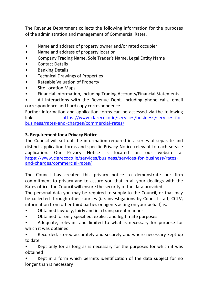The Revenue Department collects the following information for the purposes of the administration and management of Commercial Rates.

- Name and address of property owner and/or rated occupier
- Name and address of property location
- Company Trading Name, Sole Trader's Name, Legal Entity Name
- Contact Details
- Banking Details
- Technical Drawings of Properties
- Rateable Valuation of Property
- Site Location Maps
- Financial Information, including Trading Accounts/Financial Statements
- All interactions with the Revenue Dept. including phone calls, email correspondence and hard copy correspondence.

Further information and application forms can be accessed via the following link: https://www.clarecoco.ie/services/business/services-forbusiness/rates-and-charges/commercial-rates/

#### **3. Requirement for a Privacy Notice**

The Council will set out the information required in a series of separate and distinct application forms and specific Privacy Notice relevant to each service application. Our Privacy Notice is located on our website at https://www.clarecoco.ie/services/business/services-for-business/ratesand-charges/commercial-rates/

The Council has created this privacy notice to demonstrate our firm commitment to privacy and to assure you that in all your dealings with the Rates office, the Council will ensure the security of the data provided.

The personal data you may be required to supply to the Council, or that may be collected through other sources (i.e. investigations by Council staff; CCTV, information from other third parties or agents acting on your behalf) is,

- Obtained lawfully, fairly and in a transparent manner
- Obtained for only specified, explicit and legitimate purposes
- Adequate, relevant and limited to what is necessary for purpose for which it was obtained

• Recorded, stored accurately and securely and where necessary kept up to date

Kept only for as long as is necessary for the purposes for which it was obtained

Kept in a form which permits identification of the data subject for no longer than is necessary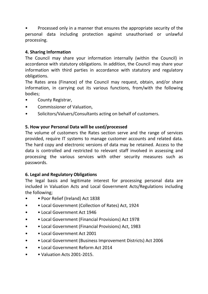• Processed only in a manner that ensures the appropriate security of the personal data including protection against unauthorised or unlawful processing.

#### **4. Sharing Information**

The Council may share your information internally (within the Council) in accordance with statutory obligations. In addition, the Council may share your information with third parties in accordance with statutory and regulatory obligations.

The Rates area (Finance) of the Council may request, obtain, and/or share information, in carrying out its various functions, from/with the following bodies;

- County Registrar,
- Commissioner of Valuation,
- Solicitors/Valuers/Consultants acting on behalf of customers.

#### **5. How your Personal Data will be used/processed**

The volume of customers the Rates section serve and the range of services provided, require IT systems to manage customer accounts and related data. The hard copy and electronic versions of data may be retained. Access to the data is controlled and restricted to relevant staff involved in assessing and processing the various services with other security measures such as passwords.

#### **6. Legal and Regulatory Obligations**

The legal basis and legitimate interest for processing personal data are included in Valuation Acts and Local Government Acts/Regulations including the following;

- • Poor Relief (Ireland) Act 1838
- • Local Government (Collection of Rates) Act, 1924
- Local Government Act 1946
- • Local Government (Financial Provisions) Act 1978
- • Local Government (Financial Provisions) Act, 1983
- • Local Government Act 2001
- • Local Government (Business Improvement Districts) Act 2006
- • Local Government Reform Act 2014
- • Valuation Acts 2001-2015.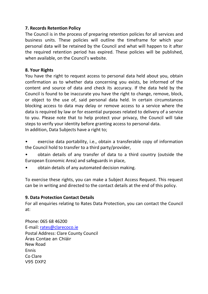#### **7. Records Retention Policy**

The Council is in the process of preparing retention policies for all services and business units. These policies will outline the timeframe for which your personal data will be retained by the Council and what will happen to it after the required retention period has expired. These policies will be published, when available, on the Council's website.

#### **8. Your Rights**

You have the right to request access to personal data held about you, obtain confirmation as to whether data concerning you exists, be informed of the content and source of data and check its accuracy. If the data held by the Council is found to be inaccurate you have the right to change, remove, block, or object to the use of, said personal data held. In certain circumstances blocking access to data may delay or remove access to a service where the data is required by law or for essential purposes related to delivery of a service to you. Please note that to help protect your privacy, the Council will take steps to verify your identity before granting access to personal data. In addition, Data Subjects have a right to;

- exercise data portability, i.e., obtain a transferable copy of information the Council hold to transfer to a third party/provider,
- obtain details of any transfer of data to a third country (outside the European Economic Area) and safeguards in place,
- obtain details of any automated decision making.

To exercise these rights, you can make a Subject Access Request. This request can be in writing and directed to the contact details at the end of this policy.

#### **9. Data Protection Contact Details**

For all enquiries relating to Rates Data Protection, you can contact the Council at:

Phone: 065 68 46200 E-mail: rates@clarecoco.ie Postal Address: Clare County Council Áras Contae an Chláir New Road Ennis Co Clare V95 DXP2